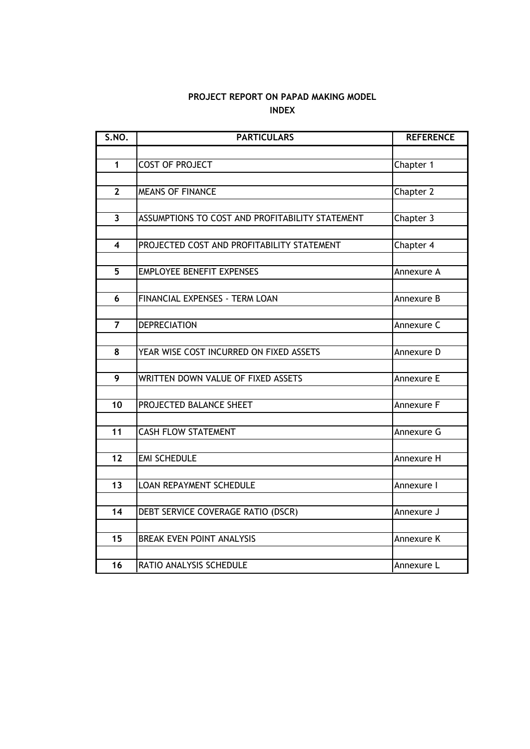# **INDEX PROJECT REPORT ON PAPAD MAKING MODEL**

| S.NO.          | <b>PARTICULARS</b>                              | <b>REFERENCE</b> |  |  |
|----------------|-------------------------------------------------|------------------|--|--|
|                |                                                 |                  |  |  |
| $\mathbf 1$    | <b>COST OF PROJECT</b>                          | Chapter 1        |  |  |
|                |                                                 |                  |  |  |
| $\mathbf{2}$   | <b>MEANS OF FINANCE</b>                         | Chapter 2        |  |  |
|                |                                                 |                  |  |  |
| $\overline{3}$ | ASSUMPTIONS TO COST AND PROFITABILITY STATEMENT | Chapter 3        |  |  |
|                |                                                 |                  |  |  |
| 4              | PROJECTED COST AND PROFITABILITY STATEMENT      | Chapter 4        |  |  |
|                |                                                 |                  |  |  |
| 5              | <b>EMPLOYEE BENEFIT EXPENSES</b>                | Annexure A       |  |  |
|                |                                                 |                  |  |  |
| 6              | FINANCIAL EXPENSES - TERM LOAN                  | Annexure B       |  |  |
|                |                                                 |                  |  |  |
| $\overline{7}$ | <b>DEPRECIATION</b>                             | Annexure C       |  |  |
| 8              | YEAR WISE COST INCURRED ON FIXED ASSETS         | Annexure D       |  |  |
|                |                                                 |                  |  |  |
| 9              | WRITTEN DOWN VALUE OF FIXED ASSETS              | Annexure E       |  |  |
|                |                                                 |                  |  |  |
| 10             | PROJECTED BALANCE SHEET                         | Annexure F       |  |  |
|                |                                                 |                  |  |  |
| 11             | <b>CASH FLOW STATEMENT</b>                      | Annexure G       |  |  |
|                |                                                 |                  |  |  |
| 12             | <b>EMI SCHEDULE</b>                             | Annexure H       |  |  |
|                |                                                 |                  |  |  |
| 13             | LOAN REPAYMENT SCHEDULE                         | Annexure I       |  |  |
|                |                                                 |                  |  |  |
| 14             | DEBT SERVICE COVERAGE RATIO (DSCR)              | Annexure J       |  |  |
|                |                                                 |                  |  |  |
| 15             | <b>BREAK EVEN POINT ANALYSIS</b>                | Annexure K       |  |  |
|                |                                                 |                  |  |  |
| 16             | RATIO ANALYSIS SCHEDULE                         | Annexure L       |  |  |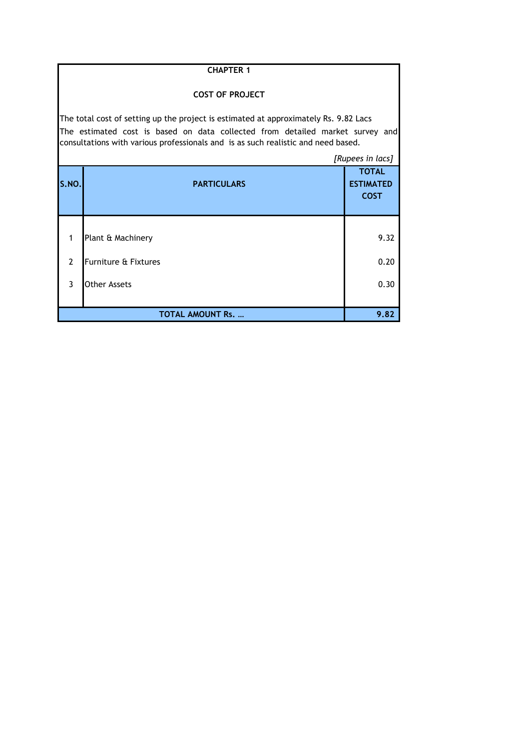|                | <b>CHAPTER 1</b>                                                                                                                                                                                                                                           |                  |  |  |  |  |  |  |  |  |
|----------------|------------------------------------------------------------------------------------------------------------------------------------------------------------------------------------------------------------------------------------------------------------|------------------|--|--|--|--|--|--|--|--|
|                | <b>COST OF PROJECT</b>                                                                                                                                                                                                                                     |                  |  |  |  |  |  |  |  |  |
|                | The total cost of setting up the project is estimated at approximately Rs. 9.82 Lacs<br>The estimated cost is based on data collected from detailed market survey and<br>consultations with various professionals and is as such realistic and need based. |                  |  |  |  |  |  |  |  |  |
|                |                                                                                                                                                                                                                                                            | [Rupees in lacs] |  |  |  |  |  |  |  |  |
| S.NO.          | <b>PARTICULARS</b><br><b>ESTIMATED</b>                                                                                                                                                                                                                     |                  |  |  |  |  |  |  |  |  |
| 1              | Plant & Machinery                                                                                                                                                                                                                                          | 9.32             |  |  |  |  |  |  |  |  |
| $\overline{2}$ | <b>Furniture &amp; Fixtures</b>                                                                                                                                                                                                                            | 0.20             |  |  |  |  |  |  |  |  |
| 3              | Other Assets                                                                                                                                                                                                                                               | 0.30             |  |  |  |  |  |  |  |  |
|                | <b>TOTAL AMOUNT Rs. </b>                                                                                                                                                                                                                                   | 9.82             |  |  |  |  |  |  |  |  |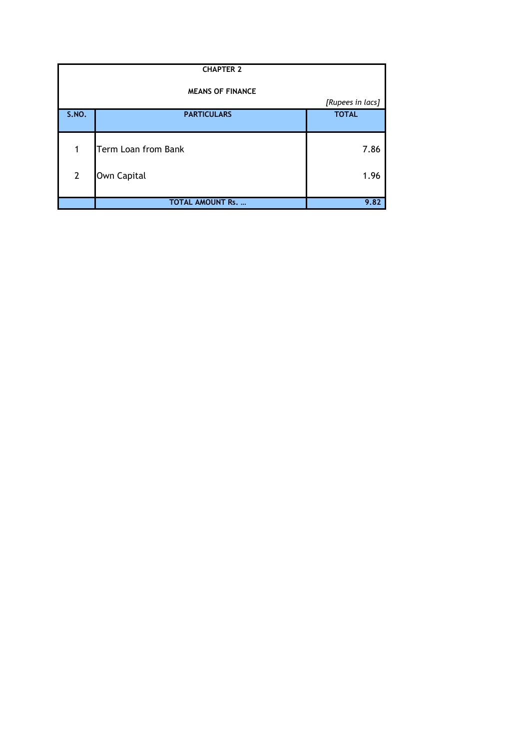| <b>CHAPTER 2</b>        |                          |                  |  |  |  |  |  |  |  |
|-------------------------|--------------------------|------------------|--|--|--|--|--|--|--|
| <b>MEANS OF FINANCE</b> |                          |                  |  |  |  |  |  |  |  |
|                         |                          | [Rupees in lacs] |  |  |  |  |  |  |  |
| <b>S.NO.</b>            | <b>PARTICULARS</b>       | <b>TOTAL</b>     |  |  |  |  |  |  |  |
|                         |                          |                  |  |  |  |  |  |  |  |
|                         |                          |                  |  |  |  |  |  |  |  |
| 1                       | Term Loan from Bank      | 7.86             |  |  |  |  |  |  |  |
| $\overline{2}$          | Own Capital              | 1.96             |  |  |  |  |  |  |  |
|                         |                          |                  |  |  |  |  |  |  |  |
|                         | <b>TOTAL AMOUNT Rs. </b> | 9.82             |  |  |  |  |  |  |  |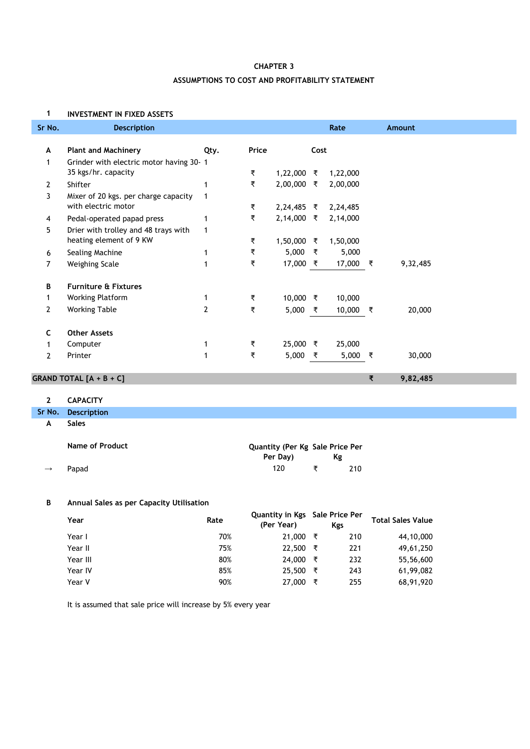# **ASSUMPTIONS TO COST AND PROFITABILITY STATEMENT CHAPTER 3**

#### **1 INVESTMENT IN FIXED ASSETS**

| Sr No.                | <b>Description</b>                       |              |       |              |      | Rate     |   | Amount   |
|-----------------------|------------------------------------------|--------------|-------|--------------|------|----------|---|----------|
|                       |                                          |              |       |              |      |          |   |          |
| A                     | <b>Plant and Machinery</b>               | Qty.         | Price |              | Cost |          |   |          |
|                       | Grinder with electric motor having 30- 1 |              |       |              |      |          |   |          |
|                       | 35 kgs/hr. capacity                      |              | ₹     | 1,22,000 ₹   |      | 1,22,000 |   |          |
| $\mathbf{2}$          | Shifter                                  |              | ₹     | $2,00,000$ ₹ |      | 2,00,000 |   |          |
| 3                     | Mixer of 20 kgs. per charge capacity     | 1            |       |              |      |          |   |          |
|                       | with electric motor                      |              | ₹     | $2,24,485$ ₹ |      | 2,24,485 |   |          |
| 4                     | Pedal-operated papad press               |              | ₹     | $2,14,000$ ₹ |      | 2,14,000 |   |          |
| 5                     | Drier with trolley and 48 trays with     | 1            |       |              |      |          |   |          |
|                       | heating element of 9 KW                  |              | ₹     | $1,50,000$ ₹ |      | 1,50,000 |   |          |
| 6                     | Sealing Machine                          | 1            | ₹     | 5,000        | ₹    | 5,000    |   |          |
| 7                     | Weighing Scale                           | $\mathbf{1}$ | ₹     | 17,000 ₹     |      | 17,000 ₹ |   | 9,32,485 |
| B                     | <b>Furniture &amp; Fixtures</b>          |              |       |              |      |          |   |          |
|                       |                                          |              | ₹     |              |      |          |   |          |
|                       | <b>Working Platform</b>                  |              |       | $10,000$ ₹   |      | 10,000   |   |          |
| $\mathbf{2}^{\prime}$ | <b>Working Table</b>                     | 2            | ₹     | 5,000        | ₹    | 10,000 ₹ |   | 20,000   |
| C                     | <b>Other Assets</b>                      |              |       |              |      |          |   |          |
|                       | Computer                                 | 1            | ₹     | 25,000 ₹     |      | 25,000   |   |          |
| 2                     | Printer                                  | 1            | ₹     | 5,000        | ₹    | 5,000    | ₹ | 30,000   |
|                       |                                          |              |       |              |      |          |   |          |

**₹ 9,82,485**

# **GRAND TOTAL [A + B + C]**

## **2 CAPACITY**

| Sr No. | <b>Description</b> |
|--------|--------------------|
|--------|--------------------|

**A Sales**

|               | Name of Product | Quantity (Per Kg Sale Price Per |    |     |  |  |
|---------------|-----------------|---------------------------------|----|-----|--|--|
|               |                 | Per Day)                        | Kg |     |  |  |
| $\rightarrow$ | Papad           | 120                             |    | 210 |  |  |

### **B Annual Sales as per Capacity Utilisation**

| Year     | Rate | Quantity in Kgs Sale Price Per<br>(Per Year) |   | Kgs | <b>Total Sales Value</b> |
|----------|------|----------------------------------------------|---|-----|--------------------------|
| Year I   | 70%  | 21,000                                       | ₹ | 210 | 44,10,000                |
| Year II  | 75%  | 22,500                                       | ₹ | 221 | 49,61,250                |
| Year III | 80%  | 24,000                                       | ₹ | 232 | 55,56,600                |
| Year IV  | 85%  | 25,500                                       | ₹ | 243 | 61,99,082                |
| Year V   | 90%  | 27,000                                       | ₹ | 255 | 68,91,920                |

It is assumed that sale price will increase by 5% every year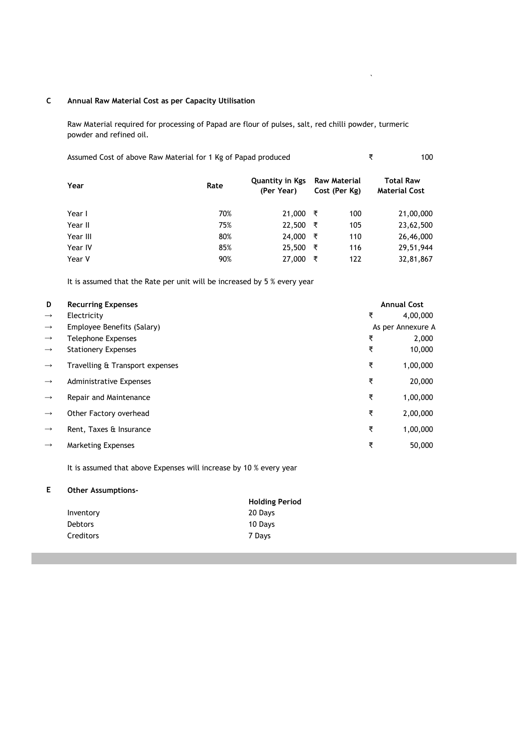#### **C Annual Raw Material Cost as per Capacity Utilisation**

Raw Material required for processing of Papad are flour of pulses, salt, red chilli powder, turmeric powder and refined oil.

Assumed Cost of above Raw Material for 1 Kg of Papad produced **₹** 100

 $\ddot{\phantom{0}}$ 

| Year     | Rate | Quantity in Kgs<br>(Per Year) |   | <b>Raw Material</b><br>Cost (Per Kg) | <b>Total Raw</b><br><b>Material Cost</b> |  |
|----------|------|-------------------------------|---|--------------------------------------|------------------------------------------|--|
| Year I   | 70%  | 21,000                        | ₹ | 100                                  | 21,00,000                                |  |
| Year II  | 75%  | 22,500                        | ₹ | 105                                  | 23,62,500                                |  |
| Year III | 80%  | 24,000                        | ₹ | 110                                  | 26,46,000                                |  |
| Year IV  | 85%  | 25,500                        | ₹ | 116                                  | 29,51,944                                |  |
| Year V   | 90%  | 27,000                        | ₹ | 122                                  | 32,81,867                                |  |

It is assumed that the Rate per unit will be increased by 5 % every year

| D             | <b>Recurring Expenses</b>       |   | <b>Annual Cost</b> |
|---------------|---------------------------------|---|--------------------|
| $\rightarrow$ | Electricity                     | ₹ | 4,00,000           |
| $\rightarrow$ | Employee Benefits (Salary)      |   | As per Annexure A  |
| $\rightarrow$ | Telephone Expenses              | ₹ | 2,000              |
| $\rightarrow$ | <b>Stationery Expenses</b>      | ₹ | 10,000             |
| $\rightarrow$ | Travelling & Transport expenses | ₹ | 1,00,000           |
| $\rightarrow$ | <b>Administrative Expenses</b>  | ₹ | 20,000             |
| $\rightarrow$ | Repair and Maintenance          | ₹ | 1,00,000           |
| $\rightarrow$ | Other Factory overhead          | ₹ | 2,00,000           |
| $\rightarrow$ | Rent, Taxes & Insurance         | ₹ | 1,00,000           |
| $\rightarrow$ | <b>Marketing Expenses</b>       | ₹ | 50,000             |

It is assumed that above Expenses will increase by 10 % every year

#### **E Other Assumptions-**

|                | <b>Holding Period</b> |
|----------------|-----------------------|
| Inventory      | 20 Days               |
| <b>Debtors</b> | 10 Days               |
| Creditors      | 7 Days                |
|                |                       |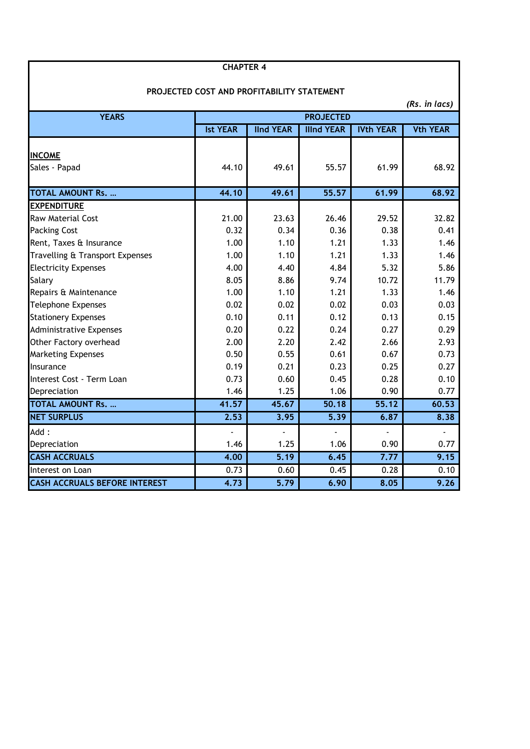| PROJECTED COST AND PROFITABILITY STATEMENT |                  |                  |                    |                  |                 |  |  |  |  |  |
|--------------------------------------------|------------------|------------------|--------------------|------------------|-----------------|--|--|--|--|--|
|                                            |                  |                  |                    |                  | (Rs. in lacs)   |  |  |  |  |  |
| <b>YEARS</b>                               | <b>PROJECTED</b> |                  |                    |                  |                 |  |  |  |  |  |
|                                            | <b>Ist YEAR</b>  | <b>IInd YEAR</b> | <b>Illnd YEAR</b>  | <b>IVth YEAR</b> | <b>Vth YEAR</b> |  |  |  |  |  |
|                                            |                  |                  |                    |                  |                 |  |  |  |  |  |
| <b>INCOME</b>                              | 44.10            | 49.61            |                    |                  | 68.92           |  |  |  |  |  |
| Sales - Papad                              |                  |                  | 55.57              | 61.99            |                 |  |  |  |  |  |
| <b>TOTAL AMOUNT Rs. </b>                   | 44.10            | 49.61            | $\overline{55.57}$ | 61.99            | 68.92           |  |  |  |  |  |
| <b>EXPENDITURE</b>                         |                  |                  |                    |                  |                 |  |  |  |  |  |
| <b>Raw Material Cost</b>                   | 21.00            | 23.63            | 26.46              | 29.52            | 32.82           |  |  |  |  |  |
| <b>Packing Cost</b>                        | 0.32             | 0.34             | 0.36               | 0.38             | 0.41            |  |  |  |  |  |
| Rent, Taxes & Insurance                    | 1.00             | 1.10             | 1.21               | 1.33             | 1.46            |  |  |  |  |  |
| Travelling & Transport Expenses            | 1.00             | 1.10             | 1.21               | 1.33             | 1.46            |  |  |  |  |  |
| <b>Electricity Expenses</b>                | 4.00             | 4.40             | 4.84               | 5.32             | 5.86            |  |  |  |  |  |
| Salary                                     | 8.05             | 8.86             | 9.74               | 10.72            | 11.79           |  |  |  |  |  |
| Repairs & Maintenance                      | 1.00             | 1.10             | 1.21               | 1.33             | 1.46            |  |  |  |  |  |
| <b>Telephone Expenses</b>                  | 0.02             | 0.02             | 0.02               | 0.03             | 0.03            |  |  |  |  |  |
| <b>Stationery Expenses</b>                 | 0.10             | 0.11             | 0.12               | 0.13             | 0.15            |  |  |  |  |  |
| <b>Administrative Expenses</b>             | 0.20             | 0.22             | 0.24               | 0.27             | 0.29            |  |  |  |  |  |
| Other Factory overhead                     | 2.00             | 2.20             | 2.42               | 2.66             | 2.93            |  |  |  |  |  |
| <b>Marketing Expenses</b>                  | 0.50             | 0.55             | 0.61               | 0.67             | 0.73            |  |  |  |  |  |
| Insurance                                  | 0.19             | 0.21             | 0.23               | 0.25             | 0.27            |  |  |  |  |  |
| Interest Cost - Term Loan                  | 0.73             | 0.60             | 0.45               | 0.28             | 0.10            |  |  |  |  |  |
| Depreciation                               | 1.46             | 1.25             | 1.06               | 0.90             | 0.77            |  |  |  |  |  |
| <b>TOTAL AMOUNT Rs. </b>                   | 41.57            | 45.67            | 50.18              | 55.12            | 60.53           |  |  |  |  |  |
| <b>NET SURPLUS</b>                         | 2.53             | 3.95             | 5.39               | 6.87             | 8.38            |  |  |  |  |  |
| Add:                                       |                  |                  |                    |                  |                 |  |  |  |  |  |
| Depreciation                               | 1.46             | 1.25             | 1.06               | 0.90             | 0.77            |  |  |  |  |  |
| <b>CASH ACCRUALS</b>                       | 4.00             | 5.19             | 6.45               | 7.77             | 9.15            |  |  |  |  |  |
| Interest on Loan                           | 0.73             | 0.60             | 0.45               | 0.28             | 0.10            |  |  |  |  |  |
| <b>CASH ACCRUALS BEFORE INTEREST</b>       | 4.73             | 5.79             | 6.90               | 8.05             | 9.26            |  |  |  |  |  |

**CHAPTER 4**

 $\mathsf I$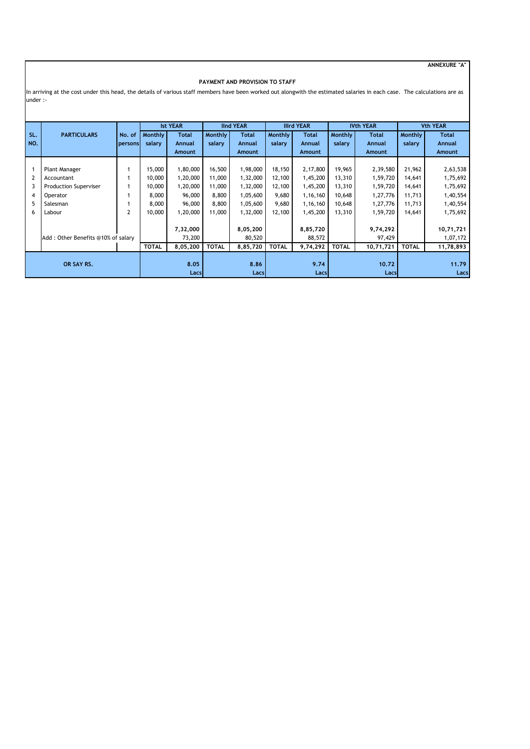**ANNEXURE "A"**

#### **PAYMENT AND PROVISION TO STAFF**

In arriving at the cost under this head, the details of various staff members have been worked out alongwith the estimated salaries in each case. The calculations are as under :-

|                                    |                              |                | <b>IInd YEAR</b><br><b>Ist YEAR</b> |              |              | <b>Illrd YEAR</b> |              | <b>IVth YEAR</b> |              | <b>Vth YEAR</b> |              |              |
|------------------------------------|------------------------------|----------------|-------------------------------------|--------------|--------------|-------------------|--------------|------------------|--------------|-----------------|--------------|--------------|
| SL.                                | <b>PARTICULARS</b>           |                | <b>Monthly</b>                      | <b>Total</b> | Monthly      | <b>Total</b>      |              | <b>Total</b>     |              | <b>Total</b>    | Monthly      | <b>Total</b> |
|                                    |                              | No. of         |                                     |              |              |                   | Monthly      |                  | Monthly      |                 |              |              |
| NO.                                |                              | persons        | salary                              | Annual       | salary       | Annual            | salary       | Annual           | salary       | Annual          | salary       | Annual       |
|                                    |                              |                |                                     | Amount       |              | Amount            |              | <b>Amount</b>    |              | Amount          |              | Amount       |
|                                    |                              |                |                                     |              |              |                   |              |                  |              |                 |              |              |
|                                    | Plant Manager                |                | 15,000                              | 1,80,000     | 16,500       | 1,98,000          | 18,150       | 2,17,800         | 19,965       | 2,39,580        | 21,962       | 2,63,538     |
|                                    | Accountant                   |                | 10,000                              | 1,20,000     | 11,000       | 1,32,000          | 12,100       | 1,45,200         | 13,310       | 1,59,720        | 14,641       | 1,75,692     |
|                                    | <b>Production Superviser</b> |                | 10,000                              | 1,20,000     | 11,000       | 1,32,000          | 12,100       | 1,45,200         | 13,310       | 1,59,720        | 14,641       | 1,75,692     |
| 4                                  | Operator                     |                | 8,000                               | 96,000       | 8,800        | 1,05,600          | 9,680        | 1,16,160         | 10,648       | 1,27,776        | 11,713       | 1,40,554     |
| 5                                  | Salesman                     |                | 8,000                               | 96,000       | 8,800        | 1,05,600          | 9,680        | 1,16,160         | 10,648       | 1,27,776        | 11,713       | 1,40,554     |
| 6                                  | Labour                       | $\overline{2}$ | 10,000                              | 1,20,000     | 11,000       | 1,32,000          | 12,100       | 1,45,200         | 13,310       | 1,59,720        | 14,641       | 1,75,692     |
|                                    |                              |                |                                     |              |              |                   |              |                  |              |                 |              |              |
|                                    |                              |                |                                     | 7,32,000     |              | 8,05,200          |              | 8,85,720         |              | 9,74,292        |              | 10,71,721    |
| Add: Other Benefits @10% of salary |                              |                |                                     | 73,200       |              | 80,520            |              | 88,572           |              | 97,429          |              | 1,07,172     |
|                                    |                              |                | <b>TOTAL</b>                        | 8,05,200     | <b>TOTAL</b> | 8,85,720          | <b>TOTAL</b> | 9,74,292         | <b>TOTAL</b> | 10,71,721       | <b>TOTAL</b> | 11,78,893    |
|                                    |                              |                |                                     |              |              |                   |              |                  |              |                 |              |              |
| OR SAY RS.                         |                              |                |                                     | 8.05         |              | 8.86              |              | 9.74             |              | 10.72           |              | 11.79        |
|                                    |                              |                |                                     | Lacs         |              | Lacs              |              | Lacs             |              | Lacs            |              | Lacs         |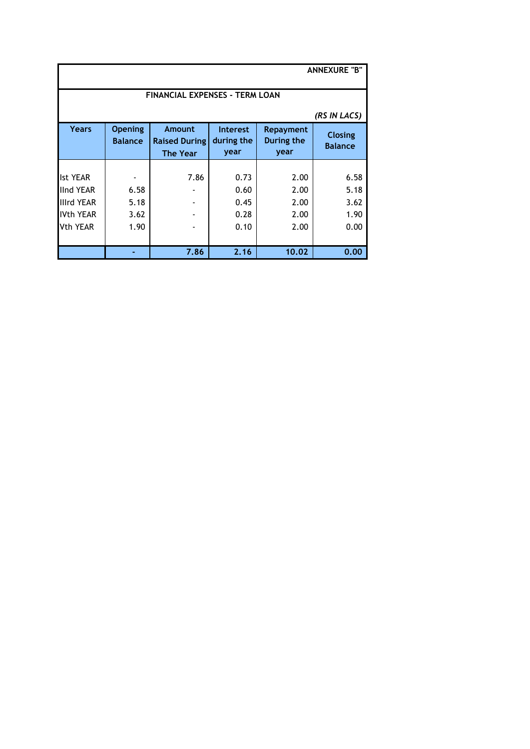| <b>ANNEXURE "B"</b>                   |                                  |                                                   |                                       |                                 |                                  |  |  |  |
|---------------------------------------|----------------------------------|---------------------------------------------------|---------------------------------------|---------------------------------|----------------------------------|--|--|--|
| <b>FINANCIAL EXPENSES - TERM LOAN</b> |                                  |                                                   |                                       |                                 |                                  |  |  |  |
|                                       |                                  |                                                   |                                       |                                 | (RS IN LACS)                     |  |  |  |
| Years                                 | <b>Opening</b><br><b>Balance</b> | Amount<br><b>Raised During</b><br><b>The Year</b> | <b>Interest</b><br>during the<br>year | Repayment<br>During the<br>year | <b>Closing</b><br><b>Balance</b> |  |  |  |
|                                       |                                  |                                                   |                                       |                                 |                                  |  |  |  |
| <b>Ist YEAR</b>                       |                                  | 7.86                                              | 0.73                                  | 2.00                            | 6.58                             |  |  |  |
| <b>IInd YEAR</b>                      | 6.58                             |                                                   | 0.60                                  | 2.00                            | 5.18                             |  |  |  |
| <b>Illrd YEAR</b>                     | 5.18                             |                                                   | 0.45                                  | 2.00                            | 3.62                             |  |  |  |
| <b>IVth YEAR</b>                      | 3.62                             |                                                   | 0.28                                  | 2.00                            | 1.90                             |  |  |  |
| <b>Vth YEAR</b>                       | 1.90                             |                                                   | 0.10                                  | 2.00                            | 0.00                             |  |  |  |
|                                       |                                  |                                                   |                                       |                                 |                                  |  |  |  |
|                                       |                                  | 7.86                                              | 2.16                                  | 10.02                           | 0.00                             |  |  |  |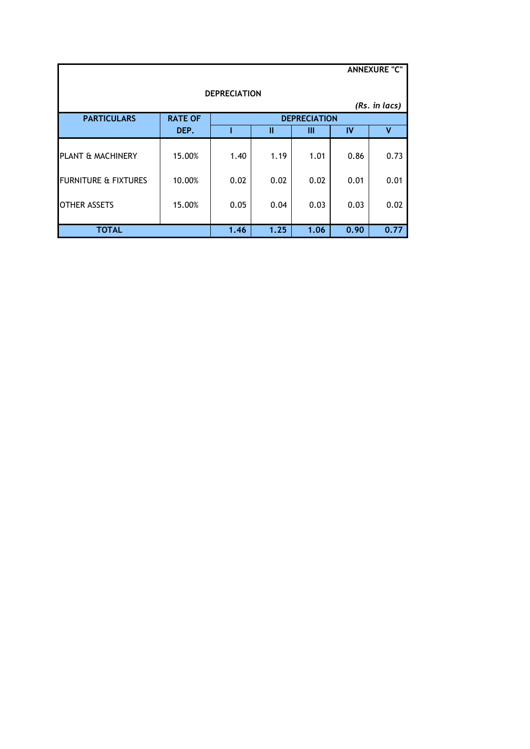|                                 |                |      |      |                     |      | <b>ANNEXURE "C"</b> |  |  |
|---------------------------------|----------------|------|------|---------------------|------|---------------------|--|--|
| <b>DEPRECIATION</b>             |                |      |      |                     |      |                     |  |  |
| (Rs. in lacs)                   |                |      |      |                     |      |                     |  |  |
| <b>PARTICULARS</b>              | <b>RATE OF</b> |      |      | <b>DEPRECIATION</b> |      |                     |  |  |
|                                 | DEP.           |      | Ш    | Ш                   | IV   | v                   |  |  |
| PLANT & MACHINERY               | 15.00%         | 1.40 | 1.19 | 1.01                | 0.86 | 0.73                |  |  |
| <b>FURNITURE &amp; FIXTURES</b> | 10.00%         | 0.02 | 0.02 | 0.02                | 0.01 | 0.01                |  |  |
| <b>OTHER ASSETS</b>             | 15.00%         | 0.05 | 0.04 | 0.03                | 0.03 | 0.02                |  |  |
| <b>TOTAL</b>                    |                | 1.46 | 1.25 | 1.06                | 0.90 | 0.77                |  |  |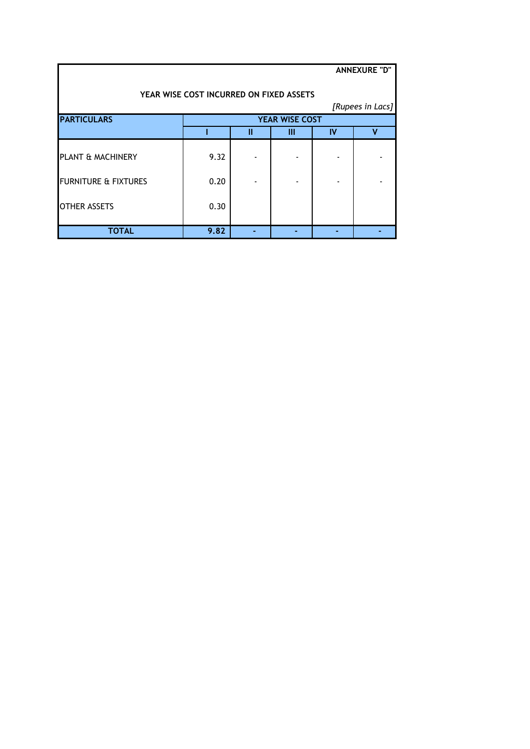|                                         |                       |   |   |    | <b>ANNEXURE "D"</b> |  |  |  |
|-----------------------------------------|-----------------------|---|---|----|---------------------|--|--|--|
| YEAR WISE COST INCURRED ON FIXED ASSETS |                       |   |   |    |                     |  |  |  |
|                                         |                       |   |   |    | [Rupees in Lacs]    |  |  |  |
| <b>PARTICULARS</b>                      | <b>YEAR WISE COST</b> |   |   |    |                     |  |  |  |
|                                         |                       | Ш | Ш | IV | v                   |  |  |  |
| PLANT & MACHINERY                       | 9.32                  |   |   |    |                     |  |  |  |
| <b>FURNITURE &amp; FIXTURES</b>         | 0.20                  |   |   |    |                     |  |  |  |
| <b>OTHER ASSETS</b>                     | 0.30                  |   |   |    |                     |  |  |  |
| TOTAL                                   | 9.82                  |   |   |    |                     |  |  |  |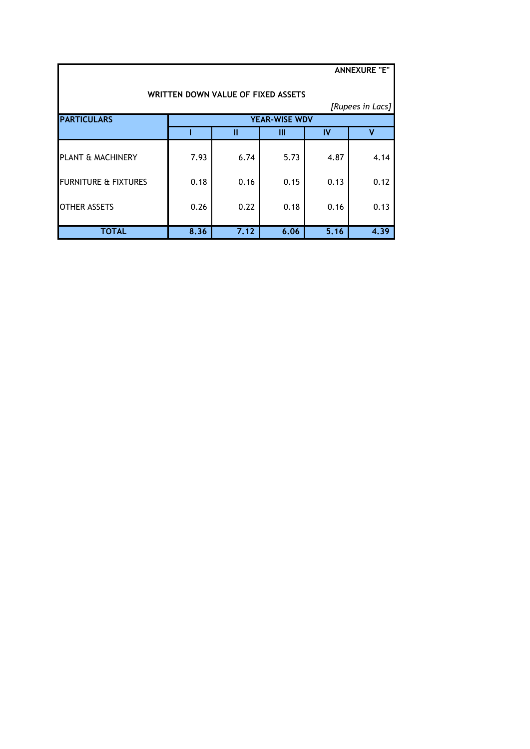| <b>ANNEXURE "E"</b>                |      |      |                      |      |                  |  |  |  |  |
|------------------------------------|------|------|----------------------|------|------------------|--|--|--|--|
| WRITTEN DOWN VALUE OF FIXED ASSETS |      |      |                      |      |                  |  |  |  |  |
|                                    |      |      |                      |      | [Rupees in Lacs] |  |  |  |  |
| <b>PARTICULARS</b>                 |      |      | <b>YEAR-WISE WDV</b> |      |                  |  |  |  |  |
|                                    |      | Ш    | Ш                    | IV   | v                |  |  |  |  |
| PLANT & MACHINERY                  | 7.93 | 6.74 | 5.73                 | 4.87 | 4.14             |  |  |  |  |
| <b>FURNITURE &amp; FIXTURES</b>    | 0.18 | 0.16 | 0.15                 | 0.13 | 0.12             |  |  |  |  |
| <b>OTHER ASSETS</b>                | 0.26 | 0.22 | 0.18                 | 0.16 | 0.13             |  |  |  |  |
| <b>TOTAL</b>                       | 8.36 | 7.12 | 6.06                 | 5.16 | 4.39             |  |  |  |  |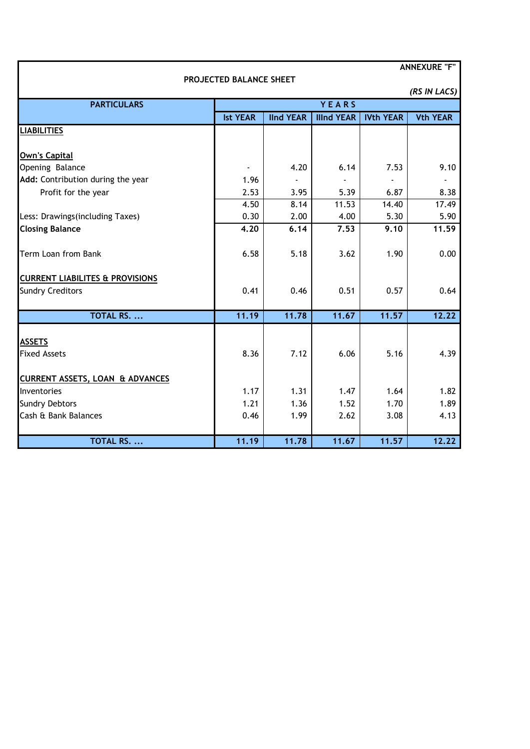| <b>ANNEXURE "F"</b>                        |                         |                  |                   |                  |                 |  |  |
|--------------------------------------------|-------------------------|------------------|-------------------|------------------|-----------------|--|--|
|                                            | PROJECTED BALANCE SHEET |                  |                   |                  |                 |  |  |
|                                            |                         |                  |                   |                  | (RS IN LACS)    |  |  |
| <b>PARTICULARS</b>                         |                         |                  | YEARS             |                  |                 |  |  |
|                                            | <b>Ist YEAR</b>         | <b>IInd YEAR</b> | <b>Illnd YEAR</b> | <b>IVth YEAR</b> | <b>Vth YEAR</b> |  |  |
| <b>LIABILITIES</b>                         |                         |                  |                   |                  |                 |  |  |
| <b>Own's Capital</b>                       |                         |                  |                   |                  |                 |  |  |
| Opening Balance                            |                         | 4.20             | 6.14              | 7.53             | 9.10            |  |  |
| Add: Contribution during the year          | 1.96                    |                  |                   |                  |                 |  |  |
| Profit for the year                        | 2.53                    | 3.95             | 5.39              | 6.87             | 8.38            |  |  |
|                                            | 4.50                    | 8.14             | 11.53             | 14.40            | 17.49           |  |  |
| Less: Drawings(including Taxes)            | 0.30                    | 2.00             | 4.00              | 5.30             | 5.90            |  |  |
| <b>Closing Balance</b>                     | 4.20                    | 6.14             | 7.53              | 9.10             | 11.59           |  |  |
|                                            |                         |                  |                   |                  |                 |  |  |
| Term Loan from Bank                        | 6.58                    | 5.18             | 3.62              | 1.90             | 0.00            |  |  |
| <b>CURRENT LIABILITES &amp; PROVISIONS</b> |                         |                  |                   |                  |                 |  |  |
| <b>Sundry Creditors</b>                    | 0.41                    | 0.46             | 0.51              | 0.57             | 0.64            |  |  |
| <b>TOTAL RS. </b>                          | 11.19                   | 11.78            | 11.67             | 11.57            | 12.22           |  |  |
|                                            |                         |                  |                   |                  |                 |  |  |
| <b>ASSETS</b>                              |                         |                  |                   |                  |                 |  |  |
| <b>Fixed Assets</b>                        | 8.36                    | 7.12             | 6.06              | 5.16             | 4.39            |  |  |
| <b>CURRENT ASSETS, LOAN &amp; ADVANCES</b> |                         |                  |                   |                  |                 |  |  |
| Inventories                                | 1.17                    | 1.31             | 1.47              | 1.64             | 1.82            |  |  |
| <b>Sundry Debtors</b>                      | 1.21                    | 1.36             | 1.52              | 1.70             | 1.89            |  |  |
| Cash & Bank Balances                       | 0.46                    | 1.99             | 2.62              | 3.08             | 4.13            |  |  |
|                                            |                         |                  |                   |                  |                 |  |  |
| <b>TOTAL RS. </b>                          | 11.19                   | 11.78            | 11.67             | 11.57            | 12.22           |  |  |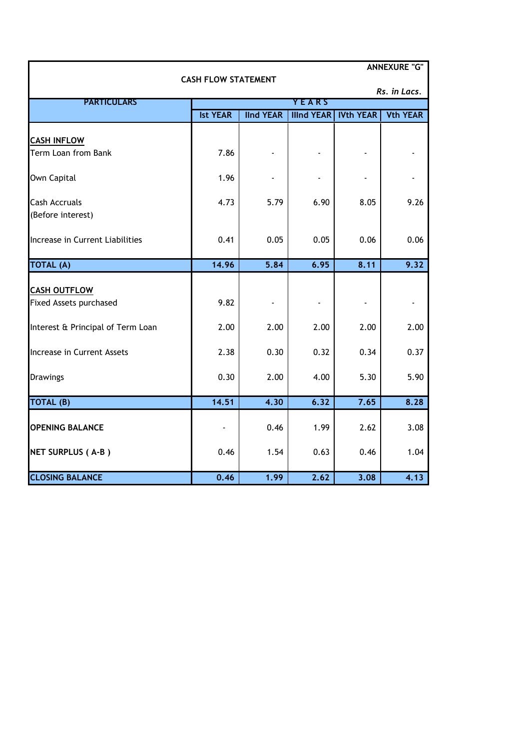| <b>ANNEXURE "G"</b>               |                            |                  |                   |                  |                 |  |  |
|-----------------------------------|----------------------------|------------------|-------------------|------------------|-----------------|--|--|
|                                   | <b>CASH FLOW STATEMENT</b> |                  |                   |                  | Rs. in Lacs.    |  |  |
| <b>PARTICULARS</b>                |                            |                  | <b>YEARS</b>      |                  |                 |  |  |
|                                   | <b>Ist YEAR</b>            | <b>IInd YEAR</b> | <b>Illnd YEAR</b> | <b>IVth YEAR</b> | <b>Vth YEAR</b> |  |  |
|                                   |                            |                  |                   |                  |                 |  |  |
| <b>CASH INFLOW</b>                |                            |                  |                   |                  |                 |  |  |
| Term Loan from Bank               | 7.86                       |                  |                   |                  |                 |  |  |
| Own Capital                       | 1.96                       |                  |                   |                  |                 |  |  |
| <b>Cash Accruals</b>              | 4.73                       | 5.79             | 6.90              | 8.05             | 9.26            |  |  |
| (Before interest)                 |                            |                  |                   |                  |                 |  |  |
|                                   |                            |                  |                   |                  |                 |  |  |
| Increase in Current Liabilities   | 0.41                       | 0.05             | 0.05              | 0.06             | 0.06            |  |  |
| <b>TOTAL (A)</b>                  | 14.96                      | 5,84             | 6.95              | 8.11             | 9.32            |  |  |
|                                   |                            |                  |                   |                  |                 |  |  |
| <b>CASH OUTFLOW</b>               |                            |                  |                   |                  |                 |  |  |
| Fixed Assets purchased            | 9.82                       |                  |                   |                  |                 |  |  |
| Interest & Principal of Term Loan | 2.00                       | 2.00             | 2.00              | 2.00             | 2.00            |  |  |
| Increase in Current Assets        | 2.38                       | 0.30             | 0.32              | 0.34             | 0.37            |  |  |
| <b>Drawings</b>                   | 0.30                       | 2.00             | 4.00              | 5.30             | 5.90            |  |  |
|                                   |                            |                  |                   |                  |                 |  |  |
| TOTAL (B)                         | 14.51                      | 4.30             | 6.32              | 7.65             | 8.28            |  |  |
| <b>OPENING BALANCE</b>            |                            | 0.46             | 1.99              | 2.62             | 3.08            |  |  |
| NET SURPLUS (A-B)                 | 0.46                       | 1.54             | 0.63              | 0.46             | 1.04            |  |  |
| <b>CLOSING BALANCE</b>            | 0.46                       | 1.99             | 2.62              | 3.08             | 4.13            |  |  |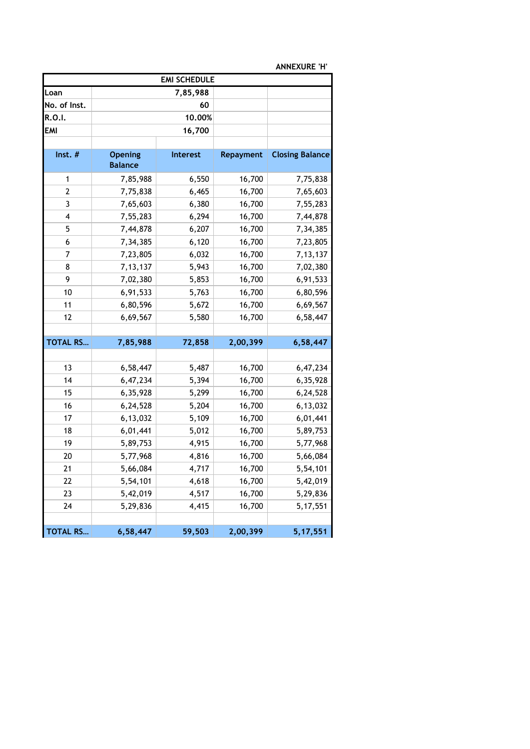| <b>EMI SCHEDULE</b> |                                  |                 |           |                        |  |  |  |
|---------------------|----------------------------------|-----------------|-----------|------------------------|--|--|--|
| Loan                |                                  | 7,85,988        |           |                        |  |  |  |
| No. of Inst.        |                                  | 60              |           |                        |  |  |  |
| R.O.I.              |                                  | 10.00%          |           |                        |  |  |  |
| <b>EMI</b>          |                                  | 16,700          |           |                        |  |  |  |
|                     |                                  |                 |           |                        |  |  |  |
| Inst. $#$           | <b>Opening</b><br><b>Balance</b> | <b>Interest</b> | Repayment | <b>Closing Balance</b> |  |  |  |
| 1                   | 7,85,988                         | 6,550           | 16,700    | 7,75,838               |  |  |  |
| 2                   | 7,75,838                         | 6,465           | 16,700    | 7,65,603               |  |  |  |
| 3                   | 7,65,603                         | 6,380           | 16,700    | 7,55,283               |  |  |  |
| 4                   | 7,55,283                         | 6,294           | 16,700    | 7,44,878               |  |  |  |
| 5                   | 7,44,878                         | 6,207           | 16,700    | 7,34,385               |  |  |  |
| 6                   | 7,34,385                         | 6,120           | 16,700    | 7,23,805               |  |  |  |
| 7                   | 7,23,805                         | 6,032           | 16,700    | 7, 13, 137             |  |  |  |
| 8                   | 7, 13, 137                       | 5,943           | 16,700    | 7,02,380               |  |  |  |
| 9                   | 7,02,380                         | 5,853           | 16,700    | 6,91,533               |  |  |  |
| 10                  | 6,91,533                         | 5,763           | 16,700    | 6,80,596               |  |  |  |
| 11                  | 6,80,596                         | 5,672           | 16,700    | 6,69,567               |  |  |  |
| 12                  | 6,69,567                         | 5,580           | 16,700    | 6,58,447               |  |  |  |
|                     |                                  |                 |           |                        |  |  |  |
| <b>TOTAL RS</b>     | 7,85,988                         | 72,858          | 2,00,399  | 6,58,447               |  |  |  |
|                     |                                  |                 |           |                        |  |  |  |
| 13                  | 6,58,447                         | 5,487           | 16,700    | 6,47,234               |  |  |  |
| 14                  | 6,47,234                         | 5,394           | 16,700    | 6,35,928               |  |  |  |
| 15                  | 6,35,928                         | 5,299           | 16,700    | 6,24,528               |  |  |  |
| 16                  | 6,24,528                         | 5,204           | 16,700    | 6,13,032               |  |  |  |
| 17                  | 6,13,032                         | 5,109           | 16,700    | 6,01,441               |  |  |  |
| 18                  | 6,01,441                         | 5,012           | 16,700    | 5,89,753               |  |  |  |
| 19                  | 5,89,753                         | 4,915           | 16,700    | 5,77,968               |  |  |  |
| 20                  | 5,77,968                         | 4,816           | 16,700    | 5,66,084               |  |  |  |
| 21                  | 5,66,084                         | 4,717           | 16,700    | 5,54,101               |  |  |  |
| 22                  | 5,54,101                         | 4,618           | 16,700    | 5,42,019               |  |  |  |
| 23                  | 5,42,019                         | 4,517           | 16,700    | 5,29,836               |  |  |  |
| 24                  | 5,29,836                         | 4,415           | 16,700    | 5, 17, 551             |  |  |  |
|                     |                                  |                 |           |                        |  |  |  |
| <b>TOTAL RS</b>     | 6,58,447                         | 59,503          | 2,00,399  | 5, 17, 551             |  |  |  |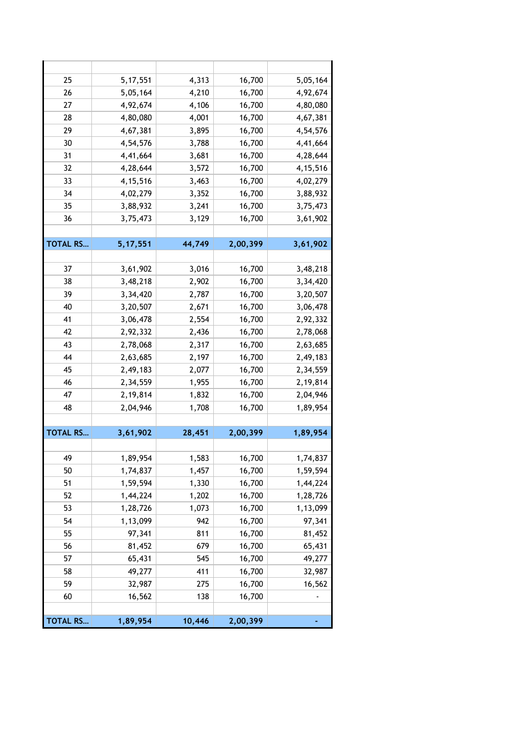| 25              | 5, 17, 551 | 4,313  | 16,700   | 5,05,164   |
|-----------------|------------|--------|----------|------------|
| 26              | 5,05,164   | 4,210  | 16,700   | 4,92,674   |
| 27              | 4,92,674   | 4,106  | 16,700   | 4,80,080   |
| 28              | 4,80,080   | 4,001  | 16,700   | 4,67,381   |
| 29              | 4,67,381   | 3,895  | 16,700   | 4,54,576   |
| 30              | 4,54,576   | 3,788  | 16,700   | 4,41,664   |
| 31              | 4,41,664   | 3,681  | 16,700   | 4,28,644   |
| 32              | 4,28,644   | 3,572  | 16,700   | 4, 15, 516 |
| 33              | 4, 15, 516 | 3,463  | 16,700   | 4,02,279   |
| 34              | 4,02,279   | 3,352  | 16,700   | 3,88,932   |
| 35              | 3,88,932   | 3,241  | 16,700   | 3,75,473   |
| 36              | 3,75,473   | 3,129  | 16,700   | 3,61,902   |
|                 |            |        |          |            |
| <b>TOTAL RS</b> | 5, 17, 551 | 44,749 | 2,00,399 | 3,61,902   |
|                 |            |        |          |            |
| 37              | 3,61,902   | 3,016  | 16,700   | 3,48,218   |
| 38              | 3,48,218   | 2,902  | 16,700   | 3,34,420   |
| 39              | 3,34,420   | 2,787  | 16,700   | 3,20,507   |
| 40              | 3,20,507   | 2,671  | 16,700   | 3,06,478   |
| 41              | 3,06,478   | 2,554  | 16,700   | 2,92,332   |
| 42              | 2,92,332   | 2,436  | 16,700   | 2,78,068   |
| 43              | 2,78,068   | 2,317  | 16,700   | 2,63,685   |
| 44              | 2,63,685   | 2,197  | 16,700   | 2,49,183   |
| 45              | 2,49,183   | 2,077  | 16,700   | 2,34,559   |
| 46              | 2,34,559   | 1,955  | 16,700   | 2,19,814   |
| 47              | 2,19,814   | 1,832  | 16,700   | 2,04,946   |
| 48              | 2,04,946   | 1,708  | 16,700   | 1,89,954   |
|                 |            |        |          |            |
| <b>TOTAL RS</b> | 3,61,902   | 28,451 | 2,00,399 | 1,89,954   |
|                 |            |        |          |            |
| 49              | 1,89,954   | 1,583  | 16,700   | 1,74,837   |
| 50              | 1,74,837   | 1,457  | 16,700   | 1,59,594   |
| 51              | 1,59,594   | 1,330  | 16,700   | 1,44,224   |
| 52              | 1,44,224   | 1,202  | 16,700   | 1,28,726   |
| 53              | 1,28,726   | 1,073  | 16,700   | 1,13,099   |
| 54              | 1,13,099   | 942    | 16,700   | 97,341     |
| 55              | 97,341     | 811    | 16,700   | 81,452     |
| 56              | 81,452     | 679    | 16,700   | 65,431     |
| 57              | 65,431     | 545    | 16,700   | 49,277     |
| 58              | 49,277     | 411    | 16,700   | 32,987     |
| 59              | 32,987     | 275    | 16,700   | 16,562     |
| 60              | 16,562     | 138    | 16,700   |            |
|                 |            |        |          |            |
| <b>TOTAL RS</b> | 1,89,954   | 10,446 | 2,00,399 |            |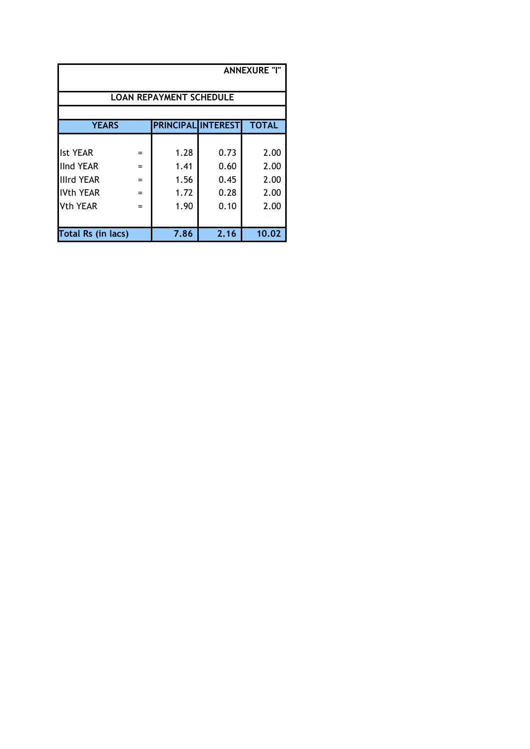| <b>ANNEXURE "I"</b>                |                   |                           |      |              |  |  |  |
|------------------------------------|-------------------|---------------------------|------|--------------|--|--|--|
| <b>LOAN REPAYMENT SCHEDULE</b>     |                   |                           |      |              |  |  |  |
|                                    |                   |                           |      |              |  |  |  |
| <b>YEARS</b>                       |                   | <b>PRINCIPAL INTEREST</b> |      | <b>TOTAL</b> |  |  |  |
|                                    |                   |                           |      |              |  |  |  |
| <b>Ist YEAR</b>                    | $=$               | 1.28                      | 0.73 | 2.00         |  |  |  |
| llInd YEAR                         | $\qquad \qquad =$ | 1.41                      | 0.60 | 2.00         |  |  |  |
| IIIrd YEAR                         | $\equiv$          | 1.56                      | 0.45 | 2.00         |  |  |  |
| <b>IVth YEAR</b>                   | $\equiv$          | 1.72                      | 0.28 | 2.00         |  |  |  |
| Vth YEAR                           | $=$               | 1.90                      | 0.10 | 2.00         |  |  |  |
|                                    |                   |                           |      |              |  |  |  |
| 7.86<br>2.16<br>Total Rs (in lacs) |                   |                           |      |              |  |  |  |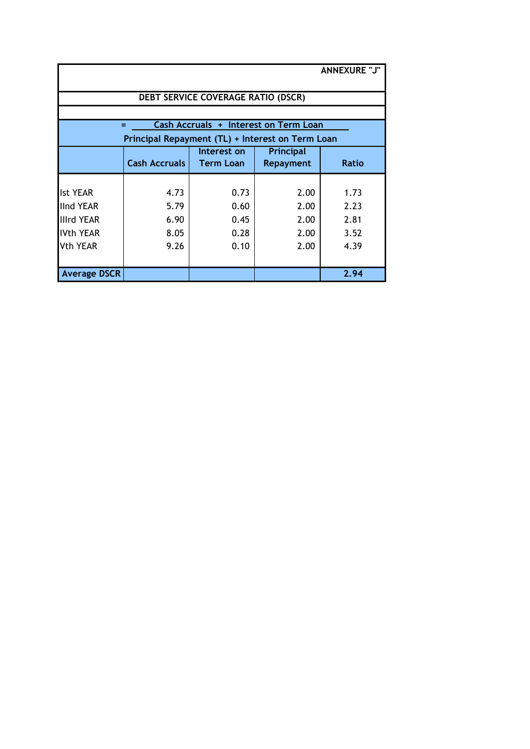| <b>ANNEXURE "J"</b> |                                                  |                                           |                                       |              |  |  |  |
|---------------------|--------------------------------------------------|-------------------------------------------|---------------------------------------|--------------|--|--|--|
|                     |                                                  |                                           |                                       |              |  |  |  |
|                     |                                                  | <b>DEBT SERVICE COVERAGE RATIO (DSCR)</b> |                                       |              |  |  |  |
|                     |                                                  |                                           |                                       |              |  |  |  |
|                     | =                                                |                                           | Cash Accruals + Interest on Term Loan |              |  |  |  |
|                     | Principal Repayment (TL) + Interest on Term Loan |                                           |                                       |              |  |  |  |
|                     |                                                  | Interest on                               | Principal                             |              |  |  |  |
|                     | <b>Cash Accruals</b>                             | <b>Term Loan</b>                          | <b>Repayment</b>                      | <b>Ratio</b> |  |  |  |
|                     |                                                  |                                           |                                       |              |  |  |  |
| <b>Ist YEAR</b>     | 4.73                                             | 0.73                                      | 2.00                                  | 1.73         |  |  |  |
| <b>IInd YEAR</b>    | 5.79                                             | 0.60                                      | 2.00                                  | 2.23         |  |  |  |
| <b>Illrd YEAR</b>   | 6.90                                             | 0.45                                      | 2.00                                  | 2.81         |  |  |  |
| <b>IVth YEAR</b>    | 8.05                                             | 0.28                                      | 2.00                                  | 3.52         |  |  |  |
| Vth YEAR            | 9.26                                             | 0.10                                      | 2.00                                  | 4.39         |  |  |  |
|                     |                                                  |                                           |                                       |              |  |  |  |
| <b>Average DSCR</b> |                                                  |                                           |                                       | 2.94         |  |  |  |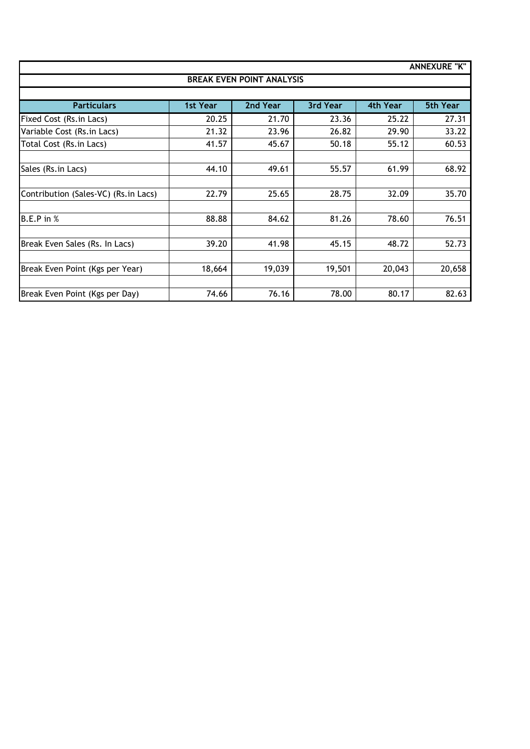|                                       |                                  |          |          |          | <b>ANNEXURE "K"</b> |  |  |  |  |
|---------------------------------------|----------------------------------|----------|----------|----------|---------------------|--|--|--|--|
|                                       | <b>BREAK EVEN POINT ANALYSIS</b> |          |          |          |                     |  |  |  |  |
|                                       |                                  |          |          |          |                     |  |  |  |  |
| <b>Particulars</b>                    | 1st Year                         | 2nd Year | 3rd Year | 4th Year | <b>5th Year</b>     |  |  |  |  |
| Fixed Cost (Rs.in Lacs)               | 20.25                            | 21.70    | 23.36    | 25.22    | 27.31               |  |  |  |  |
| Variable Cost (Rs.in Lacs)            | 21.32                            | 23.96    | 26.82    | 29.90    | 33.22               |  |  |  |  |
| Total Cost (Rs.in Lacs)               | 41.57                            | 45.67    | 50.18    | 55.12    | 60.53               |  |  |  |  |
|                                       |                                  |          |          |          |                     |  |  |  |  |
| Sales (Rs. in Lacs)                   | 44.10                            | 49.61    | 55.57    | 61.99    | 68.92               |  |  |  |  |
|                                       |                                  |          |          |          |                     |  |  |  |  |
| Contribution (Sales-VC) (Rs. in Lacs) | 22.79                            | 25.65    | 28.75    | 32.09    | 35.70               |  |  |  |  |
|                                       |                                  |          |          |          |                     |  |  |  |  |
| $B.E.P$ in $%$                        | 88.88                            | 84.62    | 81.26    | 78.60    | 76.51               |  |  |  |  |
|                                       |                                  |          |          |          |                     |  |  |  |  |
| Break Even Sales (Rs. In Lacs)        | 39.20                            | 41.98    | 45.15    | 48.72    | 52.73               |  |  |  |  |
|                                       |                                  |          |          |          |                     |  |  |  |  |
| Break Even Point (Kgs per Year)       | 18,664                           | 19,039   | 19,501   | 20,043   | 20,658              |  |  |  |  |
|                                       |                                  |          |          |          |                     |  |  |  |  |
| Break Even Point (Kgs per Day)        | 74.66                            | 76.16    | 78.00    | 80.17    | 82.63               |  |  |  |  |